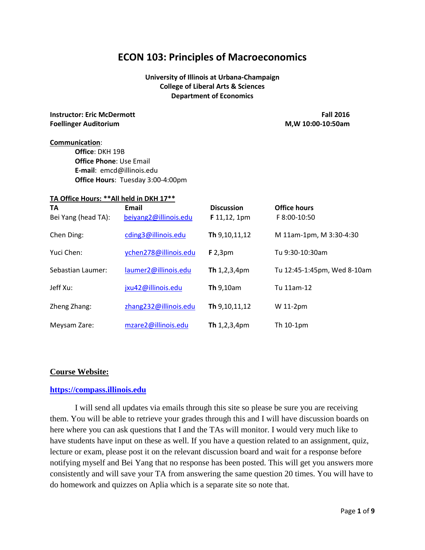# **ECON 103: Principles of Macroeconomics**

# **University of Illinois at Urbana-Champaign College of Liberal Arts & Sciences Department of Economics**

**Instructor: Eric McDermott Fall 2016 Foellinger Auditorium M,W 10:00-10:50am**

#### **Communication**:

**Office**: DKH 19B **Office Phone**: Use Email **E-mail**: emcd@illinois.edu **Office Hours**: Tuesday 3:00-4:00pm

# **TA Office Hours: \*\*All held in DKH 17\*\***

| <b>TA</b><br>Bei Yang (head TA): | Email<br>beiyang2@illinois.edu | <b>Discussion</b><br>$F$ 11,12, 1pm | <b>Office hours</b><br>F 8:00-10:50 |
|----------------------------------|--------------------------------|-------------------------------------|-------------------------------------|
| Chen Ding:                       | cding3@illinois.edu            | Th 9,10,11,12                       | M 11am-1pm, M 3:30-4:30             |
| Yuci Chen:                       | ychen278@illinois.edu          | $F$ 2,3pm                           | Tu 9:30-10:30am                     |
| Sebastian Laumer:                | laumer2@illinois.edu           | Th $1,2,3,4$ pm                     | Tu 12:45-1:45pm, Wed 8-10am         |
| Jeff Xu:                         | jxu42@illinois.edu             | <b>Th</b> 9,10am                    | Tu 11am-12                          |
| Zheng Zhang:                     | zhang232@illinois.edu          | Th 9,10,11,12                       | W 11-2pm                            |
| Meysam Zare:                     | mzare2@illinois.edu            | <b>Th</b> $1,2,3,4$ pm              | Th $10-1$ pm                        |

#### **Course Website:**

#### **[https://compass.illinois.edu](https://compass.illinois.edu/)**

I will send all updates via emails through this site so please be sure you are receiving them. You will be able to retrieve your grades through this and I will have discussion boards on here where you can ask questions that I and the TAs will monitor. I would very much like to have students have input on these as well. If you have a question related to an assignment, quiz, lecture or exam, please post it on the relevant discussion board and wait for a response before notifying myself and Bei Yang that no response has been posted. This will get you answers more consistently and will save your TA from answering the same question 20 times. You will have to do homework and quizzes on Aplia which is a separate site so note that.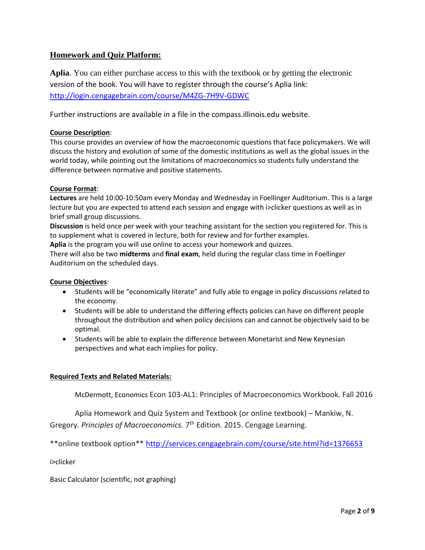# **Homework and Quiz Platform:**

**Aplia**. You can either purchase access to this with the textbook or by getting the electronic version of the book. You will have to register through the course's Aplia link: <http://login.cengagebrain.com/course/M4ZG-7H9V-GDWC>

Further instructions are available in a file in the compass.illinois.edu website.

# **Course Description**:

This course provides an overview of how the macroeconomic questions that face policymakers. We will discuss the history and evolution of some of the domestic institutions as well as the global issues in the world today, while pointing out the limitations of macroeconomics so students fully understand the difference between normative and positive statements.

# **Course Format**:

**Lectures** are held 10:00-10:50am every Monday and Wednesday in Foellinger Auditorium. This is a large lecture but you are expected to attend each session and engage with i>clicker questions as well as in brief small group discussions.

**Discussion** is held once per week with your teaching assistant for the section you registered for. This is to supplement what is covered in lecture, both for review and for further examples.

**Aplia** is the program you will use online to access your homework and quizzes.

There will also be two **midterms** and **final exam**, held during the regular class time in Foellinger Auditorium on the scheduled days.

# **Course Objectives**:

- Students will be "economically literate" and fully able to engage in policy discussions related to the economy.
- Students will be able to understand the differing effects policies can have on different people throughout the distribution and when policy decisions can and cannot be objectively said to be optimal.
- Students will be able to explain the difference between Monetarist and New Keynesian perspectives and what each implies for policy.

# **Required Texts and Related Materials:**

McDermott, Economics Econ 103-AL1: Principles of Macroeconomics Workbook. Fall 2016

Aplia Homework and Quiz System and Textbook (or online textbook) – Mankiw, N. Gregory. Principles of Macroeconomics. 7<sup>th</sup> Edition. 2015. Cengage Learning.

\*\*online textbook option\*\*<http://services.cengagebrain.com/course/site.html?id=1376653>

i>clicker

Basic Calculator (scientific, not graphing)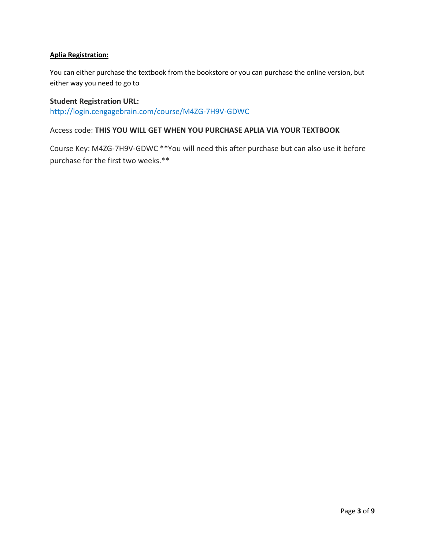# **Aplia Registration:**

You can either purchase the textbook from the bookstore or you can purchase the online version, but either way you need to go to

# **Student Registration URL:** <http://login.cengagebrain.com/course/M4ZG-7H9V-GDWC>

# Access code: **THIS YOU WILL GET WHEN YOU PURCHASE APLIA VIA YOUR TEXTBOOK**

Course Key: M4ZG-7H9V-GDWC \*\*You will need this after purchase but can also use it before purchase for the first two weeks.\*\*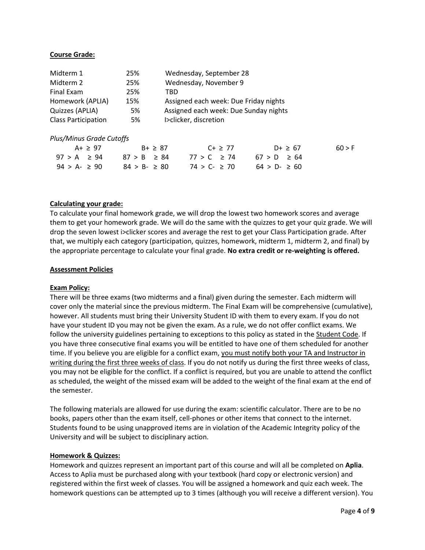#### **Course Grade:**

| Midterm 1                  | 25% | Wednesday, September 28               |
|----------------------------|-----|---------------------------------------|
| Midterm 2                  | 25% | Wednesday, November 9                 |
| Final Exam                 | 25% | TRD                                   |
| Homework (APLIA)           | 15% | Assigned each week: Due Friday nights |
| Quizzes (APLIA)            | 5%  | Assigned each week: Due Sunday nights |
| <b>Class Participation</b> | 5%  | I>clicker, discretion                 |

#### *Plus/Minus Grade Cutoffs*

| A+ $\geq$ 97                      | $B + 287$      | $C + \geq 77$           | $D+ \ge 67$    | 60 > F |
|-----------------------------------|----------------|-------------------------|----------------|--------|
| $97 > A \geq 94$ $87 > B \geq 84$ |                | 77 > C ≥ 74 67 > D ≥ 64 |                |        |
| $94 > A - 290$                    | $84 > B - 280$ | $74 > C - 270$          | $64 > D - 260$ |        |

#### **Calculating your grade:**

To calculate your final homework grade, we will drop the lowest two homework scores and average them to get your homework grade. We will do the same with the quizzes to get your quiz grade. We will drop the seven lowest i>clicker scores and average the rest to get your Class Participation grade. After that, we multiply each category (participation, quizzes, homework, midterm 1, midterm 2, and final) by the appropriate percentage to calculate your final grade. **No extra credit or re-weighting is offered.**

#### **Assessment Policies**

#### **Exam Policy:**

There will be three exams (two midterms and a final) given during the semester. Each midterm will cover only the material since the previous midterm. The Final Exam will be comprehensive (cumulative), however. All students must bring their University Student ID with them to every exam. If you do not have your student ID you may not be given the exam. As a rule, we do not offer conflict exams. We follow the university guidelines pertaining to exceptions to this policy as stated in the Student Code. If you have three consecutive final exams you will be entitled to have one of them scheduled for another time. If you believe you are eligible for a conflict exam, you must notify both your TA and Instructor in writing during the first three weeks of class. If you do not notify us during the first three weeks of class, you may not be eligible for the conflict. If a conflict is required, but you are unable to attend the conflict as scheduled, the weight of the missed exam will be added to the weight of the final exam at the end of the semester.

The following materials are allowed for use during the exam: scientific calculator. There are to be no books, papers other than the exam itself, cell-phones or other items that connect to the internet. Students found to be using unapproved items are in violation of the Academic Integrity policy of the University and will be subject to disciplinary action.

#### **Homework & Quizzes:**

Homework and quizzes represent an important part of this course and will all be completed on **Aplia**. Access to Aplia must be purchased along with your textbook (hard copy or electronic version) and registered within the first week of classes. You will be assigned a homework and quiz each week. The homework questions can be attempted up to 3 times (although you will receive a different version). You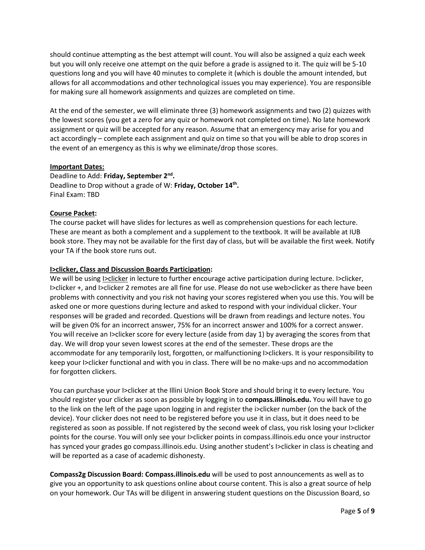should continue attempting as the best attempt will count. You will also be assigned a quiz each week but you will only receive one attempt on the quiz before a grade is assigned to it. The quiz will be 5-10 questions long and you will have 40 minutes to complete it (which is double the amount intended, but allows for all accommodations and other technological issues you may experience). You are responsible for making sure all homework assignments and quizzes are completed on time.

At the end of the semester, we will eliminate three (3) homework assignments and two (2) quizzes with the lowest scores (you get a zero for any quiz or homework not completed on time). No late homework assignment or quiz will be accepted for any reason. Assume that an emergency may arise for you and act accordingly – complete each assignment and quiz on time so that you will be able to drop scores in the event of an emergency as this is why we eliminate/drop those scores.

#### **Important Dates:**

Deadline to Add: **Friday, September 2nd .** Deadline to Drop without a grade of W: **Friday, October 14th .** Final Exam: TBD

# **Course Packet:**

The course packet will have slides for lectures as well as comprehension questions for each lecture. These are meant as both a complement and a supplement to the textbook. It will be available at IUB book store. They may not be available for the first day of class, but will be available the first week. Notify your TA if the book store runs out.

# **I>clicker, Class and Discussion Boards Participation:**

We will be using I>clicker in lecture to further encourage active participation during lecture. I>clicker, I>clicker +, and I>clicker 2 remotes are all fine for use. Please do not use web>clicker as there have been problems with connectivity and you risk not having your scores registered when you use this. You will be asked one or more questions during lecture and asked to respond with your individual clicker. Your responses will be graded and recorded. Questions will be drawn from readings and lecture notes. You will be given 0% for an incorrect answer, 75% for an incorrect answer and 100% for a correct answer. You will receive an I>clicker score for every lecture (aside from day 1) by averaging the scores from that day. We will drop your seven lowest scores at the end of the semester. These drops are the accommodate for any temporarily lost, forgotten, or malfunctioning I>clickers. It is your responsibility to keep your I>clicker functional and with you in class. There will be no make-ups and no accommodation for forgotten clickers.

You can purchase your I>clicker at the Illini Union Book Store and should bring it to every lecture. You should register your clicker as soon as possible by logging in to **compass.illinois.edu.** You will have to go to the link on the left of the page upon logging in and register the i>clicker number (on the back of the device). Your clicker does not need to be registered before you use it in class, but it does need to be registered as soon as possible. If not registered by the second week of class, you risk losing your I>clicker points for the course. You will only see your I>clicker points in compass.illinois.edu once your instructor has synced your grades go compass.illinois.edu. Using another student's I>clicker in class is cheating and will be reported as a case of academic dishonesty.

**Compass2g Discussion Board: Compass.illinois.edu** will be used to post announcements as well as to give you an opportunity to ask questions online about course content. This is also a great source of help on your homework. Our TAs will be diligent in answering student questions on the Discussion Board, so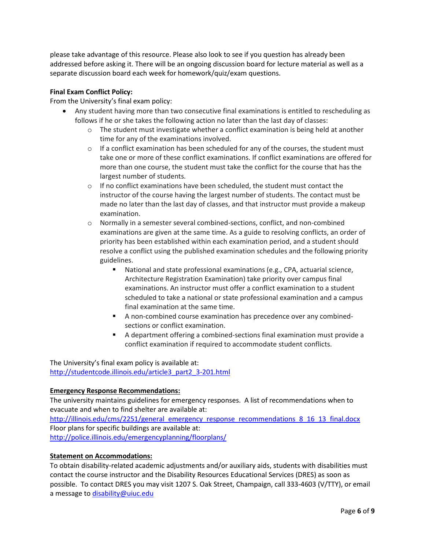please take advantage of this resource. Please also look to see if you question has already been addressed before asking it. There will be an ongoing discussion board for lecture material as well as a separate discussion board each week for homework/quiz/exam questions.

## **Final Exam Conflict Policy:**

From the University's final exam policy:

- Any student having more than two consecutive final examinations is entitled to rescheduling as follows if he or she takes the following action no later than the last day of classes:
	- o The student must investigate whether a conflict examination is being held at another time for any of the examinations involved.
	- $\circ$  If a conflict examination has been scheduled for any of the courses, the student must take one or more of these conflict examinations. If conflict examinations are offered for more than one course, the student must take the conflict for the course that has the largest number of students.
	- o If no conflict examinations have been scheduled, the student must contact the instructor of the course having the largest number of students. The contact must be made no later than the last day of classes, and that instructor must provide a makeup examination.
	- o Normally in a semester several combined-sections, conflict, and non-combined examinations are given at the same time. As a guide to resolving conflicts, an order of priority has been established within each examination period, and a student should resolve a conflict using the published examination schedules and the following priority guidelines.
		- National and state professional examinations (e.g., CPA, actuarial science, Architecture Registration Examination) take priority over campus final examinations. An instructor must offer a conflict examination to a student scheduled to take a national or state professional examination and a campus final examination at the same time.
		- A non-combined course examination has precedence over any combinedsections or conflict examination.
		- A department offering a combined-sections final examination must provide a conflict examination if required to accommodate student conflicts.

The University's final exam policy is available at: [http://studentcode.illinois.edu/article3\\_part2\\_3-201.html](http://studentcode.illinois.edu/article3_part2_3-201.html)

# **Emergency Response Recommendations:**

The university maintains guidelines for emergency responses. A list of recommendations when to evacuate and when to find shelter are available at: [http://illinois.edu/cms/2251/general\\_emergency\\_response\\_recommendations\\_8\\_16\\_13\\_final.docx](http://illinois.edu/cms/2251/general_emergency_response_recommendations_8_16_13_final.docx) Floor plans for specific buildings are available at: <http://police.illinois.edu/emergencyplanning/floorplans/>

# **Statement on Accommodations:**

To obtain disability-related academic adjustments and/or auxiliary aids, students with disabilities must contact the course instructor and the Disability Resources Educational Services (DRES) as soon as possible. To contact DRES you may visit 1207 S. Oak Street, Champaign, call 333-4603 (V/TTY), or email a message to [disability@uiuc.edu](mailto:disability@uiuc.edu)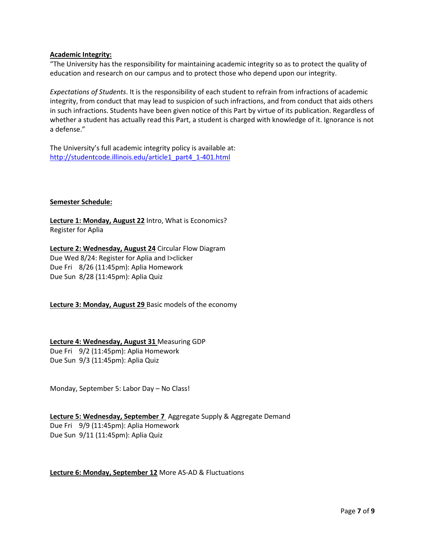#### **Academic Integrity:**

"The University has the responsibility for maintaining academic integrity so as to protect the quality of education and research on our campus and to protect those who depend upon our integrity.

*Expectations of Students*. It is the responsibility of each student to refrain from infractions of academic integrity, from conduct that may lead to suspicion of such infractions, and from conduct that aids others in such infractions. Students have been given notice of this Part by virtue of its publication. Regardless of whether a student has actually read this Part, a student is charged with knowledge of it. Ignorance is not a defense."

The University's full academic integrity policy is available at: [http://studentcode.illinois.edu/article1\\_part4\\_1-401.html](http://studentcode.illinois.edu/article1_part4_1-401.html)

#### **Semester Schedule:**

**Lecture 1: Monday, August 22** Intro, What is Economics? Register for Aplia

**Lecture 2: Wednesday, August 24** Circular Flow Diagram Due Wed 8/24: Register for Aplia and I>clicker Due Fri 8/26 (11:45pm): Aplia Homework Due Sun 8/28 (11:45pm): Aplia Quiz

**Lecture 3: Monday, August 29** Basic models of the economy

#### **Lecture 4: Wednesday, August 31** Measuring GDP

Due Fri 9/2 (11:45pm): Aplia Homework Due Sun 9/3 (11:45pm): Aplia Quiz

Monday, September 5: Labor Day – No Class!

**Lecture 5: Wednesday, September 7** Aggregate Supply & Aggregate Demand Due Fri 9/9 (11:45pm): Aplia Homework Due Sun 9/11 (11:45pm): Aplia Quiz

#### **Lecture 6: Monday, September 12** More AS-AD & Fluctuations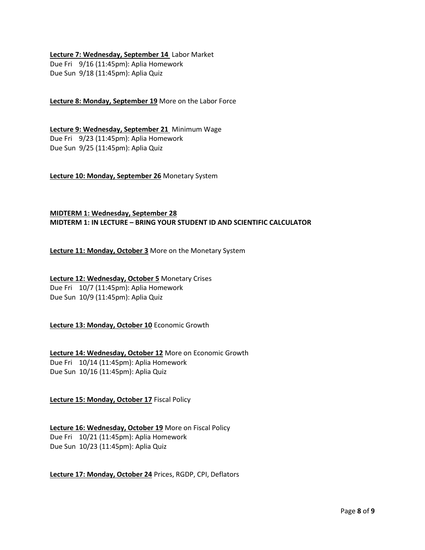#### **Lecture 7: Wednesday, September 14** Labor Market

Due Fri 9/16 (11:45pm): Aplia Homework Due Sun 9/18 (11:45pm): Aplia Quiz

**Lecture 8: Monday, September 19** More on the Labor Force

**Lecture 9: Wednesday, September 21** Minimum Wage Due Fri 9/23 (11:45pm): Aplia Homework Due Sun 9/25 (11:45pm): Aplia Quiz

**Lecture 10: Monday, September 26** Monetary System

# **MIDTERM 1: Wednesday, September 28 MIDTERM 1: IN LECTURE – BRING YOUR STUDENT ID AND SCIENTIFIC CALCULATOR**

**Lecture 11: Monday, October 3** More on the Monetary System

# **Lecture 12: Wednesday, October 5** Monetary Crises Due Fri 10/7 (11:45pm): Aplia Homework

Due Sun 10/9 (11:45pm): Aplia Quiz

**Lecture 13: Monday, October 10** Economic Growth

# **Lecture 14: Wednesday, October 12** More on Economic Growth Due Fri 10/14 (11:45pm): Aplia Homework Due Sun 10/16 (11:45pm): Aplia Quiz

**Lecture 15: Monday, October 17** Fiscal Policy

# **Lecture 16: Wednesday, October 19** More on Fiscal Policy

Due Fri 10/21 (11:45pm): Aplia Homework Due Sun 10/23 (11:45pm): Aplia Quiz

# **Lecture 17: Monday, October 24** Prices, RGDP, CPI, Deflators